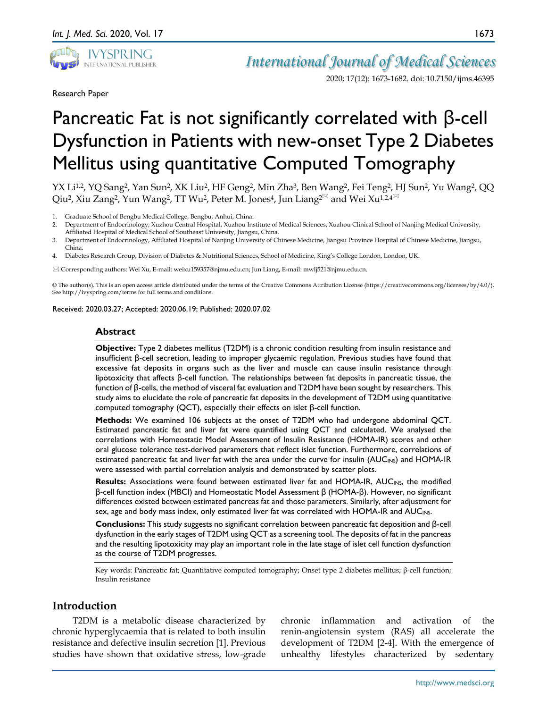

Research Paper

*International Journal of Medical Sciences*

2020; 17(12): 1673-1682. doi: 10.7150/ijms.46395

# Pancreatic Fat is not significantly correlated with β-cell Dysfunction in Patients with new-onset Type 2 Diabetes Mellitus using quantitative Computed Tomography

YX Li<sup>1,2</sup>, YQ Sang<sup>2</sup>, Yan Sun<sup>2</sup>, XK Liu<sup>2</sup>, HF Geng<sup>2</sup>, Min Zha<sup>3</sup>, Ben Wang<sup>2</sup>, Fei Teng<sup>2</sup>, HJ Sun<sup>2</sup>, Yu Wang<sup>2</sup>, QQ Qiu<sup>2</sup>, Xiu Zang<sup>2</sup>, Yun Wang<sup>2</sup>, TT Wu<sup>2</sup>, Peter M. Jones<sup>4</sup>, Jun Liang<sup>2 $\boxtimes$ </sup> and Wei Xu<sup>1,2,4 $\boxtimes$ </sup>

- 1. Graduate School of Bengbu Medical College, Bengbu, Anhui, China.
- 2. Department of Endocrinology, Xuzhou Central Hospital, Xuzhou Institute of Medical Sciences, Xuzhou Clinical School of Nanjing Medical University, Affiliated Hospital of Medical School of Southeast University, Jiangsu, China.
- 3. Department of Endocrinology, Affiliated Hospital of Nanjing University of Chinese Medicine, Jiangsu Province Hospital of Chinese Medicine, Jiangsu, China.
- 4. Diabetes Research Group, Division of Diabetes & Nutritional Sciences, School of Medicine, King's College London, London, UK.

Corresponding authors: Wei Xu, E-mail: weixu159357@njmu.edu.cn; Jun Liang, E-mail: mwlj521@njmu.edu.cn.

© The author(s). This is an open access article distributed under the terms of the Creative Commons Attribution License (https://creativecommons.org/licenses/by/4.0/). See http://ivyspring.com/terms for full terms and conditions.

Received: 2020.03.27; Accepted: 2020.06.19; Published: 2020.07.02

#### **Abstract**

**Objective:** Type 2 diabetes mellitus (T2DM) is a chronic condition resulting from insulin resistance and insufficient β-cell secretion, leading to improper glycaemic regulation. Previous studies have found that excessive fat deposits in organs such as the liver and muscle can cause insulin resistance through lipotoxicity that affects β-cell function. The relationships between fat deposits in pancreatic tissue, the function of β-cells, the method of visceral fat evaluation and T2DM have been sought by researchers. This study aims to elucidate the role of pancreatic fat deposits in the development of T2DM using quantitative computed tomography (QCT), especially their effects on islet β-cell function.

**Methods:** We examined 106 subjects at the onset of T2DM who had undergone abdominal QCT. Estimated pancreatic fat and liver fat were quantified using QCT and calculated. We analysed the correlations with Homeostatic Model Assessment of Insulin Resistance (HOMA-IR) scores and other oral glucose tolerance test-derived parameters that reflect islet function. Furthermore, correlations of estimated pancreatic fat and liver fat with the area under the curve for insulin (AUC<sub>INS</sub>) and HOMA-IR were assessed with partial correlation analysis and demonstrated by scatter plots.

**Results:** Associations were found between estimated liver fat and HOMA-IR, AUC<sub>INS</sub>, the modified β-cell function index (MBCI) and Homeostatic Model Assessment β (HOMA-β). However, no significant differences existed between estimated pancreas fat and those parameters. Similarly, after adjustment for sex, age and body mass index, only estimated liver fat was correlated with HOMA-IR and AUC<sub>INS</sub>.

**Conclusions:** This study suggests no significant correlation between pancreatic fat deposition and β-cell dysfunction in the early stages of T2DM using QCT as a screening tool. The deposits of fat in the pancreas and the resulting lipotoxicity may play an important role in the late stage of islet cell function dysfunction as the course of T2DM progresses.

Key words: Pancreatic fat; Quantitative computed tomography; Onset type 2 diabetes mellitus; β-cell function; Insulin resistance

# **Introduction**

T2DM is a metabolic disease characterized by chronic hyperglycaemia that is related to both insulin resistance and defective insulin secretion [1]. Previous studies have shown that oxidative stress, low-grade

chronic inflammation and activation of the renin-angiotensin system (RAS) all accelerate the development of T2DM [2-4]. With the emergence of unhealthy lifestyles characterized by sedentary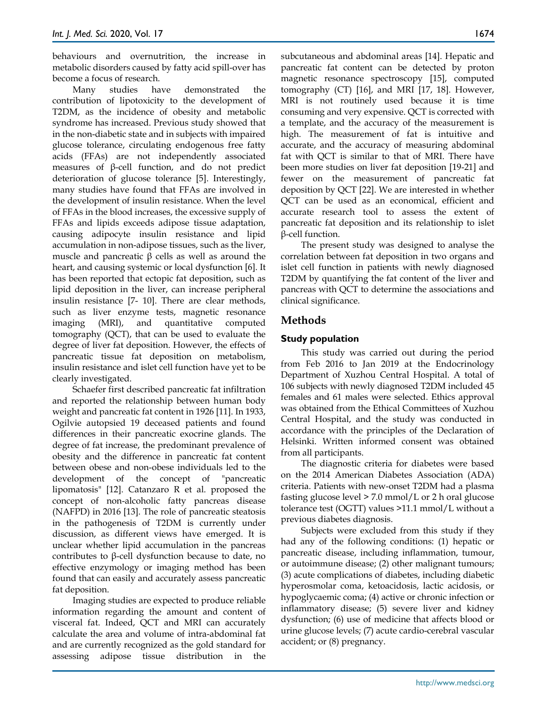behaviours and overnutrition, the increase in metabolic disorders caused by fatty acid spill-over has become a focus of research.

Many studies have demonstrated the contribution of lipotoxicity to the development of T2DM, as the incidence of obesity and metabolic syndrome has increased. Previous study showed that in the non-diabetic state and in subjects with impaired glucose tolerance, circulating endogenous free fatty acids (FFAs) are not independently associated measures of β-cell function, and do not predict deterioration of glucose tolerance [5]. Interestingly, many studies have found that FFAs are involved in the development of insulin resistance. When the level of FFAs in the blood increases, the excessive supply of FFAs and lipids exceeds adipose tissue adaptation, causing adipocyte insulin resistance and lipid accumulation in non-adipose tissues, such as the liver, muscle and pancreatic  $β$  cells as well as around the heart, and causing systemic or local dysfunction [6]. It has been reported that ectopic fat deposition, such as lipid deposition in the liver, can increase peripheral insulin resistance [7- 10]. There are clear methods, such as liver enzyme tests, magnetic resonance imaging (MRI), and quantitative computed tomography (QCT), that can be used to evaluate the degree of liver fat deposition. However, the effects of pancreatic tissue fat deposition on metabolism, insulin resistance and islet cell function have yet to be clearly investigated.

Schaefer first described pancreatic fat infiltration and reported the relationship between human body weight and pancreatic fat content in 1926 [11]. In 1933, Ogilvie autopsied 19 deceased patients and found differences in their pancreatic exocrine glands. The degree of fat increase, the predominant prevalence of obesity and the difference in pancreatic fat content between obese and non-obese individuals led to the development of the concept of "pancreatic lipomatosis" [12]. Catanzaro R et al. proposed the concept of non-alcoholic fatty pancreas disease (NAFPD) in 2016 [13]. The role of pancreatic steatosis in the pathogenesis of T2DM is currently under discussion, as different views have emerged. It is unclear whether lipid accumulation in the pancreas contributes to β-cell dysfunction because to date, no effective enzymology or imaging method has been found that can easily and accurately assess pancreatic fat deposition.

Imaging studies are expected to produce reliable information regarding the amount and content of visceral fat. Indeed, QCT and MRI can accurately calculate the area and volume of intra-abdominal fat and are currently recognized as the gold standard for assessing adipose tissue distribution in the

subcutaneous and abdominal areas [14]. Hepatic and pancreatic fat content can be detected by proton magnetic resonance spectroscopy [15], computed tomography (CT) [16], and MRI [17, 18]. However, MRI is not routinely used because it is time consuming and very expensive. QCT is corrected with a template, and the accuracy of the measurement is high. The measurement of fat is intuitive and accurate, and the accuracy of measuring abdominal fat with QCT is similar to that of MRI. There have been more studies on liver fat deposition [19-21] and fewer on the measurement of pancreatic fat deposition by QCT [22]. We are interested in whether QCT can be used as an economical, efficient and accurate research tool to assess the extent of pancreatic fat deposition and its relationship to islet β-cell function.

The present study was designed to analyse the correlation between fat deposition in two organs and islet cell function in patients with newly diagnosed T2DM by quantifying the fat content of the liver and pancreas with QCT to determine the associations and clinical significance.

# **Methods**

# **Study population**

This study was carried out during the period from Feb 2016 to Jan 2019 at the Endocrinology Department of Xuzhou Central Hospital. A total of 106 subjects with newly diagnosed T2DM included 45 females and 61 males were selected. Ethics approval was obtained from the Ethical Committees of Xuzhou Central Hospital, and the study was conducted in accordance with the principles of the Declaration of Helsinki. Written informed consent was obtained from all participants.

The diagnostic criteria for diabetes were based on the 2014 American Diabetes Association (ADA) criteria. Patients with new-onset T2DM had a plasma fasting glucose level  $> 7.0$  mmol/L or 2 h oral glucose tolerance test (OGTT) values >11.1 mmol/L without a previous diabetes diagnosis.

Subjects were excluded from this study if they had any of the following conditions: (1) hepatic or pancreatic disease, including inflammation, tumour, or autoimmune disease; (2) other malignant tumours; (3) acute complications of diabetes, including diabetic hyperosmolar coma, ketoacidosis, lactic acidosis, or hypoglycaemic coma; (4) active or chronic infection or inflammatory disease; (5) severe liver and kidney dysfunction; (6) use of medicine that affects blood or urine glucose levels; (7) acute cardio-cerebral vascular accident; or (8) pregnancy.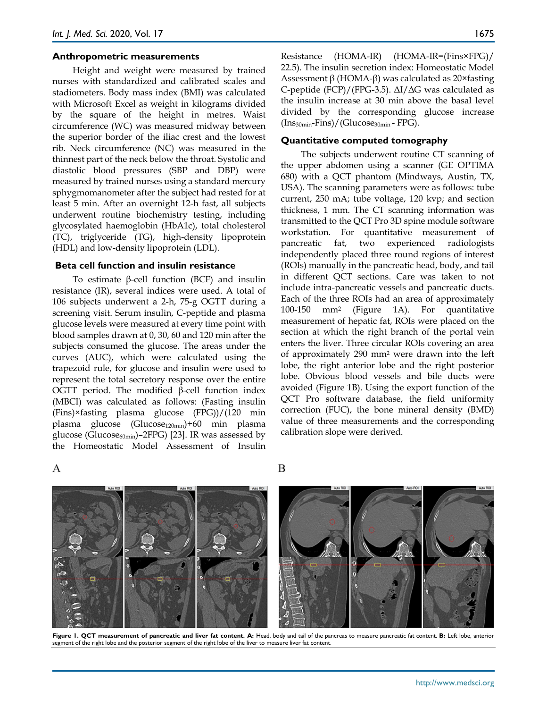#### **Anthropometric measurements**

Height and weight were measured by trained nurses with standardized and calibrated scales and stadiometers. Body mass index (BMI) was calculated with Microsoft Excel as weight in kilograms divided by the square of the height in metres. Waist circumference (WC) was measured midway between the superior border of the iliac crest and the lowest rib. Neck circumference (NC) was measured in the thinnest part of the neck below the throat. Systolic and diastolic blood pressures (SBP and DBP) were measured by trained nurses using a standard mercury sphygmomanometer after the subject had rested for at least 5 min. After an overnight 12-h fast, all subjects underwent routine biochemistry testing, including glycosylated haemoglobin (HbA1c), total cholesterol (TC), triglyceride (TG), high-density lipoprotein (HDL) and low-density lipoprotein (LDL).

#### **Beta cell function and insulin resistance**

To estimate β-cell function (BCF) and insulin resistance (IR), several indices were used. A total of 106 subjects underwent a 2-h, 75-g OGTT during a screening visit. Serum insulin, C-peptide and plasma glucose levels were measured at every time point with blood samples drawn at 0, 30, 60 and 120 min after the subjects consumed the glucose. The areas under the curves (AUC), which were calculated using the trapezoid rule, for glucose and insulin were used to represent the total secretory response over the entire OGTT period. The modified β-cell function index (MBCI) was calculated as follows: (Fasting insulin (Fins)×fasting plasma glucose (FPG))/(120 min plasma glucose (Glucose<sub>120min</sub>)+60 min plasma glucose (Glucose $_{60min}$ )–2FPG) [23]. IR was assessed by the Homeostatic Model Assessment of Insulin

Resistance (HOMA-IR) (HOMA-IR=(Fins×FPG)/ 22.5). The insulin secretion index: Homeostatic Model Assessment  $β$  (HOMA- $β$ ) was calculated as 20×fasting C-peptide (FCP)/(FPG-3.5). ΔI/ΔG was calculated as the insulin increase at 30 min above the basal level divided by the corresponding glucose increase (Ins30min-Fins)/(Glucose30min - FPG).

#### **Quantitative computed tomography**

The subjects underwent routine CT scanning of the upper abdomen using a scanner (GE OPTIMA 680) with a QCT phantom (Mindways, Austin, TX, USA). The scanning parameters were as follows: tube current, 250 mA; tube voltage, 120 kvp; and section thickness, 1 mm. The CT scanning information was transmitted to the QCT Pro 3D spine module software workstation. For quantitative measurement of pancreatic fat, two experienced radiologists independently placed three round regions of interest (ROIs) manually in the pancreatic head, body, and tail in different QCT sections. Care was taken to not include intra-pancreatic vessels and pancreatic ducts. Each of the three ROIs had an area of approximately 100-150 mm2 (Figure 1A). For quantitative measurement of hepatic fat, ROIs were placed on the section at which the right branch of the portal vein enters the liver. Three circular ROIs covering an area of approximately 290 mm2 were drawn into the left lobe, the right anterior lobe and the right posterior lobe. Obvious blood vessels and bile ducts were avoided (Figure 1B). Using the export function of the QCT Pro software database, the field uniformity correction (FUC), the bone mineral density (BMD) value of three measurements and the corresponding calibration slope were derived.

 $\overline{A}$ 





**Figure 1. QCT measurement of pancreatic and liver fat content. A:** Head, body and tail of the pancreas to measure pancreatic fat content. **B:** Left lobe, anterior segment of the right lobe and the posterior segment of the right lobe of the liver to measure liver fat content.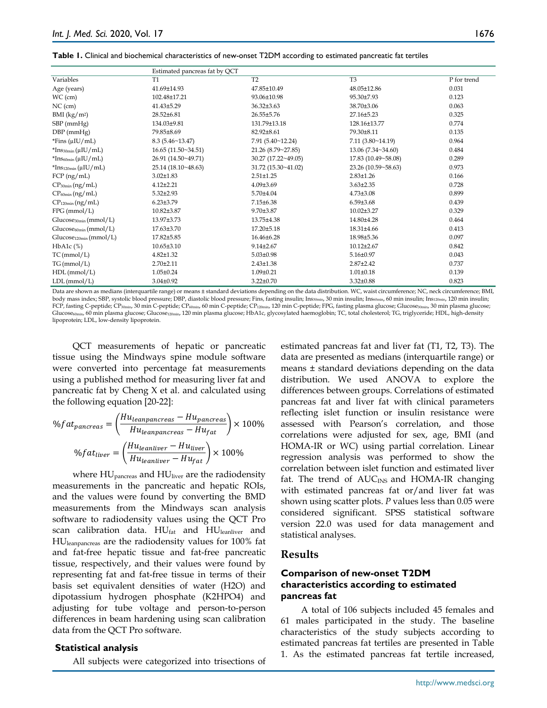| Table 1. Clinical and biochemical characteristics of new-onset T2DM according to estimated pancreatic fat tertiles |  |
|--------------------------------------------------------------------------------------------------------------------|--|
|--------------------------------------------------------------------------------------------------------------------|--|

|                                    | Estimated pancreas fat by QCT |                     |                            |             |
|------------------------------------|-------------------------------|---------------------|----------------------------|-------------|
| Variables                          | T1                            | T <sub>2</sub>      | T <sub>3</sub>             | P for trend |
| Age (years)                        | 41.69±14.93                   | 47.85±10.49         | 48.05±12.86                | 0.031       |
| $WC$ (cm)                          | 102.48±17.21                  | 93.06±10.98         | 95.30±7.93                 | 0.123       |
| $NC$ (cm)                          | 41.43±5.29                    | 36.32±3.63          | 38.70±3.06                 | 0.063       |
| BMI (kg/m <sup>2</sup> )           | 28.52±6.81                    | 26.55±5.76          | 27.16±5.23                 | 0.325       |
| $SBP$ (mm $Hg$ )                   | 134.03±9.81                   | 131.79±13.18        | 128.16±13.77               | 0.774       |
| $DBP$ (mmHg)                       | 79.85±8.69                    | 82.92±8.61          | 79.30±8.11                 | 0.135       |
| *Fins $(\mu I U/mL)$               | 8.3(5.46~13.47)               | 7.91(5.40~12.24)    | 7.11(3.80~14.19)           | 0.964       |
| $*$ Ins $_{30min}$ (µIU/mL)        | 16.65(11.50~34.51)            | 21.26 (8.79~27.85)  | $13.06(7.34 \times 34.60)$ | 0.484       |
| $*Ins60min(\muIU/mL)$              | 26.91 (14.50~49.71)           | 30.27 (17.22~49.05) | 17.83 (10.49~58.08)        | 0.289       |
| $*Ins_{120min}(\mu IU/mL)$         | 25.14 (18.10~48.63)           | 31.72 (15.30~41.02) | 23.26 (10.59~58.63)        | 0.973       |
| $FCP$ (ng/mL)                      | $3.02 \pm 1.83$               | $2.51 \pm 1.25$     | $2.83 \pm 1.26$            | 0.166       |
| $CP_{30min}(ng/mL)$                | $4.12 \pm 2.21$               | $4.09{\pm}3.69$     | $3.63 \pm 2.35$            | 0.728       |
| $CP_{60min}(ng/mL)$                | $5.32 \pm 2.93$               | $5.70 \pm 4.04$     | $4.73 \pm 3.08$            | 0.899       |
| $CP_{120min}(ng/mL)$               | $6.23 \pm 3.79$               | 7.15±6.38           | $6.59{\pm}3.68$            | 0.439       |
| $FPG$ (mmol/L)                     | 10.82±3.87                    | 9.70±3.87           | $10.02{\pm}3.27$           | 0.329       |
| Glucose <sub>30min</sub> (mmol/L)  | 13.97±3.73                    | 13.75±4.38          | 14.80±4.28                 | 0.464       |
| Glucose <sub>60min</sub> (mmol/L)  | 17.63±3.70                    | 17.20±5.18          | 18.31±4.66                 | 0.413       |
| Glucose <sub>120min</sub> (mmol/L) | 17.82±5.85                    | 16.46±6.28          | 18.98±5.36                 | 0.097       |
| $HbA1c$ $(\%)$                     | $10.65 \pm 3.10$              | $9.14 \pm 2.67$     | $10.12{\pm}2.67$           | 0.842       |
| TC(mmol/L)                         | $4.82 \pm 1.32$               | $5.03 \pm 0.98$     | $5.16 \pm 0.97$            | 0.043       |
| TG(mmol/L)                         | $2.70 \pm 2.11$               | $2.43 \pm 1.38$     | $2.87 \pm 2.42$            | 0.737       |
| $HDL$ (mmol/L)                     | $1.05 \pm 0.24$               | $1.09 \pm 0.21$     | $1.01 \pm 0.18$            | 0.139       |
| LDL(mmol/L)                        | $3.04 \pm 0.92$               | $3.22 \pm 0.70$     | $3.32 \pm 0.88$            | 0.823       |

Data are shown as medians (interquartile range) or means ± standard deviations depending on the data distribution. WC, waist circumference; NC, neck circumference; BMI, body mass index; SBP, systolic blood pressure; DBP, diastolic blood pressure; Fins, fasting insulin; Ins<sub>30min</sub>, 30 min insulin; Ins<sub>60min</sub>, 60 min insulin; Ins<sub>120min</sub>, 120 min insulin; FCP, fasting C-peptide; CP<sub>30min</sub>, 30 min C-peptide; CP<sub>60min</sub>, 60 min C-peptide; CP<sub>120min</sub>, 120 min C-peptide; FPG, fasting plasma glucose; Glucose30min, 30 min plasma glucose;  $Glucose<sub>60min</sub>$ , 60 min plasma glucose; Glucose<sub>120min</sub>, 120 min plasma glucose; HbA1c, glycosylated haemoglobin; TC, total cholesterol; TG, triglyceride; HDL, high-density lipoprotein; LDL, low-density lipoprotein.

QCT measurements of hepatic or pancreatic tissue using the Mindways spine module software were converted into percentage fat measurements using a published method for measuring liver fat and pancreatic fat by Cheng X et al. and calculated using the following equation [20-22]:

$$
\%fat_{pancreas} = \left(\frac{Hu_{leanpancreas} - Hu_{pancreas}}{Hu_{leanpancreas} - Hu_{fat}}\right) \times 100\%
$$

$$
\%fat_{liver} = \left(\frac{Hu_{leanliver} - Hu_{liver}}{Hu_{leanliver} - Hu_{fat}}\right) \times 100\%
$$

where HU<sub>pancreas</sub> and HU<sub>liver</sub> are the radiodensity measurements in the pancreatic and hepatic ROIs, and the values were found by converting the BMD measurements from the Mindways scan analysis software to radiodensity values using the QCT Pro scan calibration data.  $HU_{fat}$  and  $HU_{leanliver}$  and HUleanpancreas are the radiodensity values for 100% fat and fat-free hepatic tissue and fat-free pancreatic tissue, respectively, and their values were found by representing fat and fat-free tissue in terms of their basis set equivalent densities of water (H2O) and dipotassium hydrogen phosphate (K2HPO4) and adjusting for tube voltage and person-to-person differences in beam hardening using scan calibration data from the QCT Pro software.

#### **Statistical analysis**

All subjects were categorized into trisections of

estimated pancreas fat and liver fat (T1, T2, T3). The data are presented as medians (interquartile range) or means ± standard deviations depending on the data distribution. We used ANOVA to explore the differences between groups. Correlations of estimated pancreas fat and liver fat with clinical parameters reflecting islet function or insulin resistance were assessed with Pearson's correlation, and those correlations were adjusted for sex, age, BMI (and HOMA-IR or WC) using partial correlation. Linear regression analysis was performed to show the correlation between islet function and estimated liver fat. The trend of AUC<sub>INS</sub> and HOMA-IR changing with estimated pancreas fat or/and liver fat was shown using scatter plots. *P* values less than 0.05 were considered significant. SPSS statistical software version 22.0 was used for data management and statistical analyses.

#### **Results**

# **Comparison of new-onset T2DM characteristics according to estimated pancreas fat**

A total of 106 subjects included 45 females and 61 males participated in the study. The baseline characteristics of the study subjects according to estimated pancreas fat tertiles are presented in Table 1. As the estimated pancreas fat tertile increased,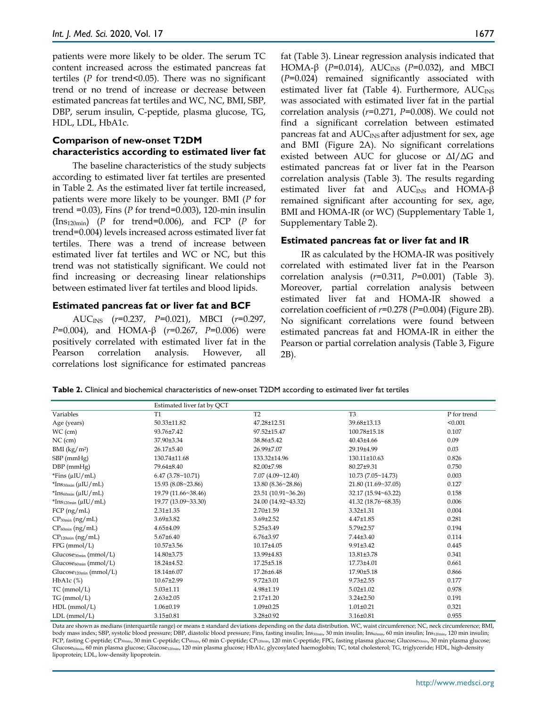patients were more likely to be older. The serum TC content increased across the estimated pancreas fat tertiles (*P* for trend<0.05). There was no significant trend or no trend of increase or decrease between estimated pancreas fat tertiles and WC, NC, BMI, SBP, DBP, serum insulin, C-peptide, plasma glucose, TG, HDL, LDL, HbA1c.

# **Comparison of new-onset T2DM characteristics according to estimated liver fat**

The baseline characteristics of the study subjects according to estimated liver fat tertiles are presented in Table 2. As the estimated liver fat tertile increased, patients were more likely to be younger. BMI (*P* for trend =0.03), Fins (*P* for trend=0.003), 120-min insulin (Ins120min) (*P* for trend=0.006), and FCP (*P* for trend=0.004) levels increased across estimated liver fat tertiles. There was a trend of increase between estimated liver fat tertiles and WC or NC, but this trend was not statistically significant. We could not find increasing or decreasing linear relationships between estimated liver fat tertiles and blood lipids.

## **Estimated pancreas fat or liver fat and BCF**

AUCINS (*r*=0.237, *P*=0.021), MBCI (*r*=0.297, *P*=0.004), and HOMA-β (*r*=0.267, *P*=0.006) were positively correlated with estimated liver fat in the Pearson correlation analysis. However, all correlations lost significance for estimated pancreas fat (Table 3). Linear regression analysis indicated that HOMA-β ( $P=0.014$ ), AUC<sub>INS</sub> ( $P=0.032$ ), and MBCI (*P*=0.024) remained significantly associated with estimated liver fat (Table 4). Furthermore,  $AUC_{INS}$ was associated with estimated liver fat in the partial correlation analysis (*r*=0.271, *P*=0.008). We could not find a significant correlation between estimated pancreas fat and  $AUC_{INS}$  after adjustment for sex, age and BMI (Figure 2A). No significant correlations existed between AUC for glucose or ΔI/ΔG and estimated pancreas fat or liver fat in the Pearson correlation analysis (Table 3). The results regarding estimated liver fat and AUC<sub>INS</sub> and HOMA-β remained significant after accounting for sex, age, BMI and HOMA-IR (or WC) (Supplementary Table 1, Supplementary Table 2).

## **Estimated pancreas fat or liver fat and IR**

IR as calculated by the HOMA-IR was positively correlated with estimated liver fat in the Pearson correlation analysis (*r*=0.311, *P*=0.001) (Table 3). Moreover, partial correlation analysis between estimated liver fat and HOMA-IR showed a correlation coefficient of *r*=0.278 (*P*=0.004) (Figure 2B). No significant correlations were found between estimated pancreas fat and HOMA-IR in either the Pearson or partial correlation analysis (Table 3, Figure 2B).

|  | Table 2. Clinical and biochemical characteristics of new-onset T2DM according to estimated liver fat tertiles |  |  |
|--|---------------------------------------------------------------------------------------------------------------|--|--|
|--|---------------------------------------------------------------------------------------------------------------|--|--|

|                                          | Estimated liver fat by QCT |                     |                     |             |
|------------------------------------------|----------------------------|---------------------|---------------------|-------------|
| Variables                                | T <sub>1</sub>             | T <sub>2</sub>      | T <sub>3</sub>      | P for trend |
| Age (years)                              | 50.33±11.82                | 47.28±12.51         | 39.68±13.13         | < 0.001     |
| $WC$ (cm)                                | 93.76±7.42                 | 97.52±15.47         | 100.78±15.18        | 0.107       |
| $NC$ (cm)                                | 37.90±3.34                 | 38.86±5.42          | $40.43{\pm}4.66$    | 0.09        |
| BMI (kg/m <sup>2</sup> )                 | 26.17±5.40                 | 26.99±7.07          | 29.19±4.99          | 0.03        |
| $SBP$ (mmHg)                             | 130.74±11.68               | 133.32±14.96        | 130.11±10.63        | 0.826       |
| $DBP$ (mmHg)                             | 79.64±8.40                 | 82.00±7.98          | 80.27±9.31          | 0.750       |
| *Fins $(\mu I U/mL)$                     | 6.47(3.78~10.71)           | 7.07(4.09~12.40)    | 10.73(7.05~14.73)   | 0.003       |
| $*$ Ins <sub>30min</sub> ( $\mu$ IU/mL)  | 15.93 (8.08~23.86)         | 13.80(8.36~28.86)   | 21.80 (11.69~37.05) | 0.127       |
| $*$ Ins <sub>60min</sub> ( $\mu$ IU/mL)  | 19.79 (11.66~38.46)        | 23.51 (10.91~36.26) | 32.17 (15.94~63.22) | 0.158       |
| $*$ Ins <sub>120min</sub> ( $\mu$ IU/mL) | 19.77 (13.09~33.30)        | 24.00 (14.92~43.32) | 41.32 (18.76~68.35) | 0.006       |
| $FCP$ (ng/mL)                            | $2.31 \pm 1.35$            | 2.70±1.59           | $3.32 \pm 1.31$     | 0.004       |
| $CP_{30min}$ (ng/mL)                     | $3.69{\pm}3.82$            | $3.69 \pm 2.52$     | $4.47 \pm 1.85$     | 0.281       |
| $CP_{60min}$ (ng/mL)                     | 4.65±4.09                  | 5.25±3.49           | 5.79±2.57           | 0.194       |
| $CP_{120min}$ (ng/mL)                    | $5.67\pm 6.40$             | $6.76 \pm 3.97$     | $7.44\pm3.40$       | 0.114       |
| $FPG$ (mmol/L)                           | 10.57±3.56                 | 10.17±4.05          | $9.91 \pm 3.42$     | 0.445       |
| Glucose <sub>30min</sub> (mmol/L)        | 14.80±3.75                 | 13.99±4.83          | 13.81±3.78          | 0.341       |
| $Glucose_{60min}(mmol/L)$                | 18.24±4.52                 | 17.25±5.18          | 17.73±4.01          | 0.661       |
| $Glucose120min$ (mmol/L)                 | 18.14±6.07                 | 17.26±6.48          | 17.90±5.18          | 0.866       |
| $HbA1c$ $%$                              | 10.67±2.99                 | $9.72{\pm}3.01$     | $9.73 \pm 2.55$     | 0.177       |
| $TC$ (mmol/L)                            | $5.03 \pm 1.11$            | 4.98±1.19           | $5.02 \pm 1.02$     | 0.978       |
| TG (mmol/L)                              | $2.63 \pm 2.05$            | $2.17 \pm 1.20$     | $3.24 \pm 2.50$     | 0.191       |
| $HDL$ (mmol/L)                           | $1.06 \pm 0.19$            | 1.09±0.25           | $1.01 \pm 0.21$     | 0.321       |
| LDL (mmol/L)                             | $3.15 \pm 0.81$            | 3.28±0.92           | $3.16 \pm 0.81$     | 0.955       |

Data are shown as medians (interquartile range) or means ± standard deviations depending on the data distribution. WC, waist circumference; NC, neck circumference; BMI, body mass index; SBP, systolic blood pressure; DBP, diastolic blood pressure; Fins, fasting insulin; Ins30min, 30 min insulin; Ins $\epsilon$ 0 min insulin; Ins120min, 120 min insulin; FCP, fasting C-peptide; CP<sub>30min</sub>, 30 min C-peptide; CP<sub>60min</sub>, 60 min C-peptide; CP<sub>120min</sub>, 120 min C-peptide; FPG, fasting plasma glucose; Glucose<sub>30min</sub>, 30 min plasma glucose; Glucose<sub>60min</sub>, 60 min plasma glucose; Glucose<sub>120min</sub>, 120 min plasma glucose; HbA1c, glycosylated haemoglobin; TC, total cholesterol; TG, triglyceride; HDL, high-density lipoprotein; LDL, low-density lipoprotein.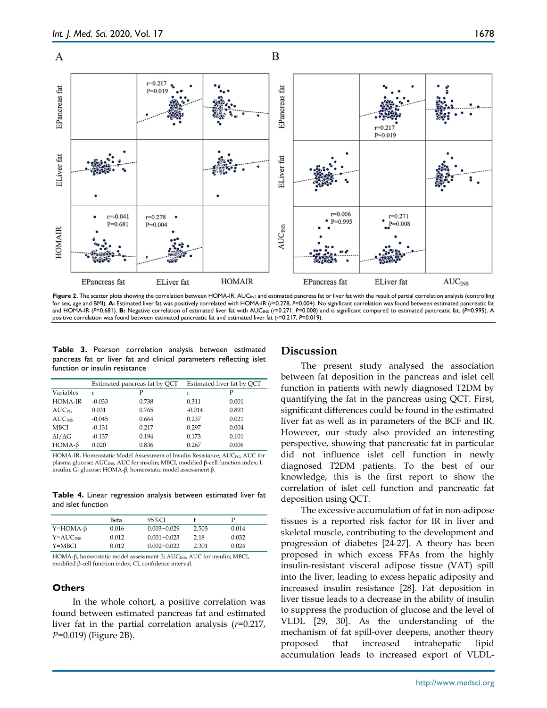

Figure 2. The scatter plots showing the correlation between HOMA-IR, AUC<sub>INS</sub> and estimated pancreas fat or liver fat with the result of partial correlation analysis (controlling for sex, age and BMI). **A:** Estimated liver fat was positively correlated with HOMA-IR (*r*=0.278, *P*=0.004). No significant correlation was found between estimated pancreatic fat and HOMA-IR (*P*=0.681). **B:** Negative correlation of estimated liver fat with AUC<sub>INS</sub> (*r*=0.271, *P*=0.008) and is significant compared to estimated pancreatic fat. (*P*=0.995). A positive correlation was found between estimated pancreatic fat and estimated liver fat (*r*=0.217, *P*=0.019).

**Table 3.** Pearson correlation analysis between estimated pancreas fat or liver fat and clinical parameters reflecting islet function or insulin resistance

|                           | Estimated pancreas fat by QCT |       | Estimated liver fat by QCT |       |
|---------------------------|-------------------------------|-------|----------------------------|-------|
| Variables                 | r                             | P     | r                          | Ρ     |
| HOMA-IR                   | $-0.033$                      | 0.738 | 0.311                      | 0.001 |
| <b>AUC</b> <sub>PG</sub>  | 0.031                         | 0.765 | $-0.014$                   | 0.893 |
| <b>AUC</b> <sub>INS</sub> | $-0.045$                      | 0.664 | 0.237                      | 0.021 |
| <b>MBCI</b>               | $-0.131$                      | 0.217 | 0.297                      | 0.004 |
| $\Delta I/\Delta G$       | $-0.137$                      | 0.194 | 0.173                      | 0.101 |
| $HOMA-\beta$              | 0.020                         | 0.836 | 0.267                      | 0.006 |

HOMA-IR, Homeostatic Model Assessment of Insulin Resistance; AUC<sub>PG</sub>, AUC for plasma glucose; AUC<sub>INS</sub>, AUC for insulin; MBCI, modified β-cell function index; I, insulin; G, glucose; HOMA-β, homeostatic model assessment β.

**Table 4.** Linear regression analysis between estimated liver fat and islet function

|                 | Beta  | 95%CI           |       |       |
|-----------------|-------|-----------------|-------|-------|
| $Y=HOMA-\beta$  | 0.016 | $0.003 - 0.029$ | 2.503 | 0.014 |
| $Y = AUC_{INS}$ | 0.012 | $0.001 - 0.023$ | 2.18  | 0.032 |
| Y=MBCI          | 0.012 | $0.002 - 0.022$ | 2.301 | 0.024 |

HOMA-β, homeostatic model assessment β; AUC<sub>INS</sub>, AUC for insulin; MBCI, modified β-cell function index; CI, confidence interval.

## **Others**

In the whole cohort, a positive correlation was found between estimated pancreas fat and estimated liver fat in the partial correlation analysis (*r*=0.217, *P*=0.019) (Figure 2B).

## **Discussion**

The present study analysed the association between fat deposition in the pancreas and islet cell function in patients with newly diagnosed T2DM by quantifying the fat in the pancreas using QCT. First, significant differences could be found in the estimated liver fat as well as in parameters of the BCF and IR. However, our study also provided an interesting perspective, showing that pancreatic fat in particular did not influence islet cell function in newly diagnosed T2DM patients. To the best of our knowledge, this is the first report to show the correlation of islet cell function and pancreatic fat deposition using QCT.

The excessive accumulation of fat in non-adipose tissues is a reported risk factor for IR in liver and skeletal muscle, contributing to the development and progression of diabetes [24-27]. A theory has been proposed in which excess FFAs from the highly insulin-resistant visceral adipose tissue (VAT) spill into the liver, leading to excess hepatic adiposity and increased insulin resistance [28]. Fat deposition in liver tissue leads to a decrease in the ability of insulin to suppress the production of glucose and the level of VLDL [29, 30]. As the understanding of the mechanism of fat spill-over deepens, another theory proposed that increased intrahepatic lipid accumulation leads to increased export of VLDL-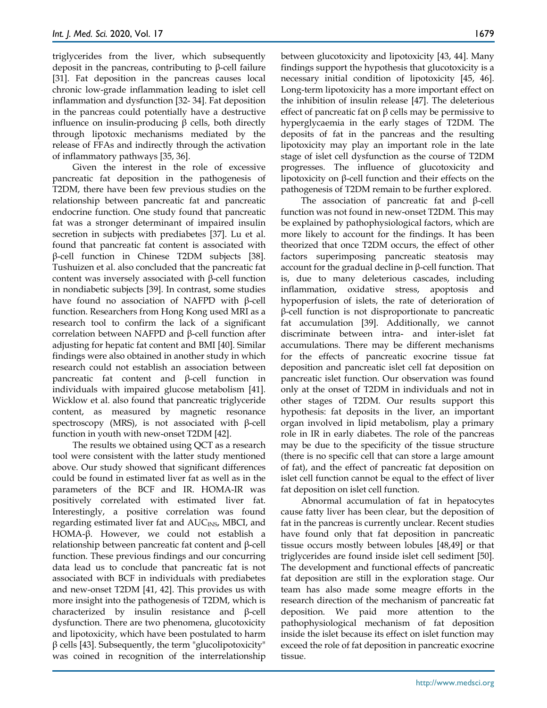triglycerides from the liver, which subsequently deposit in the pancreas, contributing to β-cell failure [31]. Fat deposition in the pancreas causes local chronic low-grade inflammation leading to islet cell inflammation and dysfunction [32- 34]. Fat deposition in the pancreas could potentially have a destructive influence on insulin-producing β cells, both directly through lipotoxic mechanisms mediated by the release of FFAs and indirectly through the activation of inflammatory pathways [35, 36].

Given the interest in the role of excessive pancreatic fat deposition in the pathogenesis of T2DM, there have been few previous studies on the relationship between pancreatic fat and pancreatic endocrine function. One study found that pancreatic fat was a stronger determinant of impaired insulin secretion in subjects with prediabetes [37]. Lu et al. found that pancreatic fat content is associated with β-cell function in Chinese T2DM subjects [38]. Tushuizen et al. also concluded that the pancreatic fat content was inversely associated with β-cell function in nondiabetic subjects [39]. In contrast, some studies have found no association of NAFPD with β-cell function. Researchers from Hong Kong used MRI as a research tool to confirm the lack of a significant correlation between NAFPD and β-cell function after adjusting for hepatic fat content and BMI [40]. Similar findings were also obtained in another study in which research could not establish an association between pancreatic fat content and β-cell function in individuals with impaired glucose metabolism [41]. Wicklow et al. also found that pancreatic triglyceride content, as measured by magnetic resonance spectroscopy (MRS), is not associated with β-cell function in youth with new-onset T2DM [42].

The results we obtained using QCT as a research tool were consistent with the latter study mentioned above. Our study showed that significant differences could be found in estimated liver fat as well as in the parameters of the BCF and IR. HOMA-IR was positively correlated with estimated liver fat. Interestingly, a positive correlation was found regarding estimated liver fat and  $AUC_{INS}$ , MBCI, and HOMA-β. However, we could not establish a relationship between pancreatic fat content and β-cell function. These previous findings and our concurring data lead us to conclude that pancreatic fat is not associated with BCF in individuals with prediabetes and new-onset T2DM [41, 42]. This provides us with more insight into the pathogenesis of T2DM, which is characterized by insulin resistance and β-cell dysfunction. There are two phenomena, glucotoxicity and lipotoxicity, which have been postulated to harm  $β$  cells [43]. Subsequently, the term "glucolipotoxicity" was coined in recognition of the interrelationship

between glucotoxicity and lipotoxicity [43, 44]. Many findings support the hypothesis that glucotoxicity is a necessary initial condition of lipotoxicity [45, 46]. Long-term lipotoxicity has a more important effect on the inhibition of insulin release [47]. The deleterious effect of pancreatic fat on β cells may be permissive to hyperglycaemia in the early stages of T2DM. The deposits of fat in the pancreas and the resulting lipotoxicity may play an important role in the late stage of islet cell dysfunction as the course of T2DM progresses. The influence of glucotoxicity and lipotoxicity on β-cell function and their effects on the pathogenesis of T2DM remain to be further explored.

The association of pancreatic fat and β-cell function was not found in new-onset T2DM. This may be explained by pathophysiological factors, which are more likely to account for the findings. It has been theorized that once T2DM occurs, the effect of other factors superimposing pancreatic steatosis may account for the gradual decline in β-cell function. That is, due to many deleterious cascades, including inflammation, oxidative stress, apoptosis and hypoperfusion of islets, the rate of deterioration of β-cell function is not disproportionate to pancreatic fat accumulation [39]. Additionally, we cannot discriminate between intra- and inter-islet fat accumulations. There may be different mechanisms for the effects of pancreatic exocrine tissue fat deposition and pancreatic islet cell fat deposition on pancreatic islet function. Our observation was found only at the onset of T2DM in individuals and not in other stages of T2DM. Our results support this hypothesis: fat deposits in the liver, an important organ involved in lipid metabolism, play a primary role in IR in early diabetes. The role of the pancreas may be due to the specificity of the tissue structure (there is no specific cell that can store a large amount of fat), and the effect of pancreatic fat deposition on islet cell function cannot be equal to the effect of liver fat deposition on islet cell function.

Abnormal accumulation of fat in hepatocytes cause fatty liver has been clear, but the deposition of fat in the pancreas is currently unclear. Recent studies have found only that fat deposition in pancreatic tissue occurs mostly between lobules [48,49] or that triglycerides are found inside islet cell sediment [50]. The development and functional effects of pancreatic fat deposition are still in the exploration stage. Our team has also made some meagre efforts in the research direction of the mechanism of pancreatic fat deposition. We paid more attention to the pathophysiological mechanism of fat deposition inside the islet because its effect on islet function may exceed the role of fat deposition in pancreatic exocrine tissue.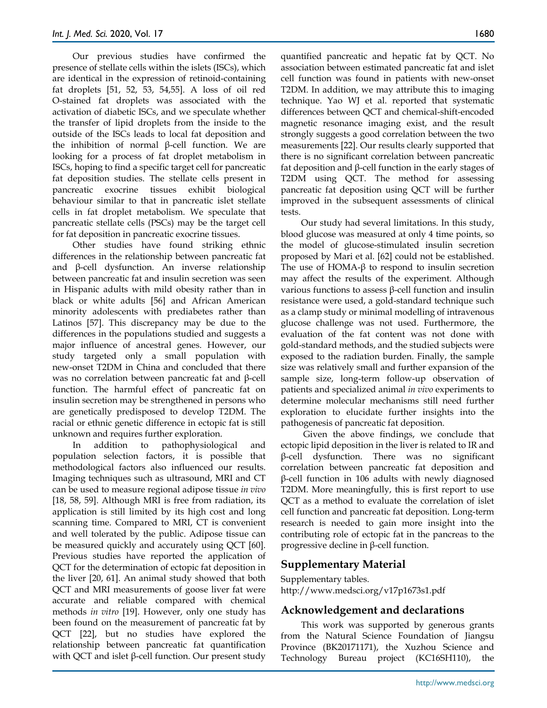Our previous studies have confirmed the presence of stellate cells within the islets (ISCs), which are identical in the expression of retinoid-containing fat droplets [51, 52, 53, 54,55]. A loss of oil red O-stained fat droplets was associated with the activation of diabetic ISCs, and we speculate whether the transfer of lipid droplets from the inside to the outside of the ISCs leads to local fat deposition and the inhibition of normal β-cell function. We are looking for a process of fat droplet metabolism in ISCs, hoping to find a specific target cell for pancreatic fat deposition studies. The stellate cells present in pancreatic exocrine tissues exhibit biological behaviour similar to that in pancreatic islet stellate cells in fat droplet metabolism. We speculate that pancreatic stellate cells (PSCs) may be the target cell for fat deposition in pancreatic exocrine tissues.

Other studies have found striking ethnic differences in the relationship between pancreatic fat and β-cell dysfunction. An inverse relationship between pancreatic fat and insulin secretion was seen in Hispanic adults with mild obesity rather than in black or white adults [56] and African American minority adolescents with prediabetes rather than Latinos [57]. This discrepancy may be due to the differences in the populations studied and suggests a major influence of ancestral genes. However, our study targeted only a small population with new-onset T2DM in China and concluded that there was no correlation between pancreatic fat and β-cell function. The harmful effect of pancreatic fat on insulin secretion may be strengthened in persons who are genetically predisposed to develop T2DM. The racial or ethnic genetic difference in ectopic fat is still unknown and requires further exploration.

In addition to pathophysiological and population selection factors, it is possible that methodological factors also influenced our results. Imaging techniques such as ultrasound, MRI and CT can be used to measure regional adipose tissue *in vivo* [18, 58, 59]. Although MRI is free from radiation, its application is still limited by its high cost and long scanning time. Compared to MRI, CT is convenient and well tolerated by the public. Adipose tissue can be measured quickly and accurately using QCT [60]. Previous studies have reported the application of QCT for the determination of ectopic fat deposition in the liver [20, 61]. An animal study showed that both QCT and MRI measurements of goose liver fat were accurate and reliable compared with chemical methods *in vitro* [19]. However, only one study has been found on the measurement of pancreatic fat by QCT [22], but no studies have explored the relationship between pancreatic fat quantification with QCT and islet β-cell function. Our present study

quantified pancreatic and hepatic fat by QCT. No association between estimated pancreatic fat and islet cell function was found in patients with new-onset T2DM. In addition, we may attribute this to imaging technique. Yao WJ et al. reported that systematic differences between QCT and chemical-shift-encoded magnetic resonance imaging exist, and the result strongly suggests a good correlation between the two measurements [22]. Our results clearly supported that there is no significant correlation between pancreatic fat deposition and β-cell function in the early stages of T2DM using QCT. The method for assessing pancreatic fat deposition using QCT will be further improved in the subsequent assessments of clinical tests.

Our study had several limitations. In this study, blood glucose was measured at only 4 time points, so the model of glucose-stimulated insulin secretion proposed by Mari et al. [62] could not be established. The use of HOMA- $\beta$  to respond to insulin secretion may affect the results of the experiment. Although various functions to assess β-cell function and insulin resistance were used, a gold-standard technique such as a clamp study or minimal modelling of intravenous glucose challenge was not used. Furthermore, the evaluation of the fat content was not done with gold-standard methods, and the studied subjects were exposed to the radiation burden. Finally, the sample size was relatively small and further expansion of the sample size, long-term follow-up observation of patients and specialized animal *in vivo* experiments to determine molecular mechanisms still need further exploration to elucidate further insights into the pathogenesis of pancreatic fat deposition.

Given the above findings, we conclude that ectopic lipid deposition in the liver is related to IR and β-cell dysfunction. There was no significant correlation between pancreatic fat deposition and β-cell function in 106 adults with newly diagnosed T2DM. More meaningfully, this is first report to use QCT as a method to evaluate the correlation of islet cell function and pancreatic fat deposition. Long-term research is needed to gain more insight into the contributing role of ectopic fat in the pancreas to the progressive decline in β-cell function.

# **Supplementary Material**

Supplementary tables. http://www.medsci.org/v17p1673s1.pdf

# **Acknowledgement and declarations**

This work was supported by generous grants from the Natural Science Foundation of Jiangsu Province (BK20171171), the Xuzhou Science and Technology Bureau project (KC16SH110), the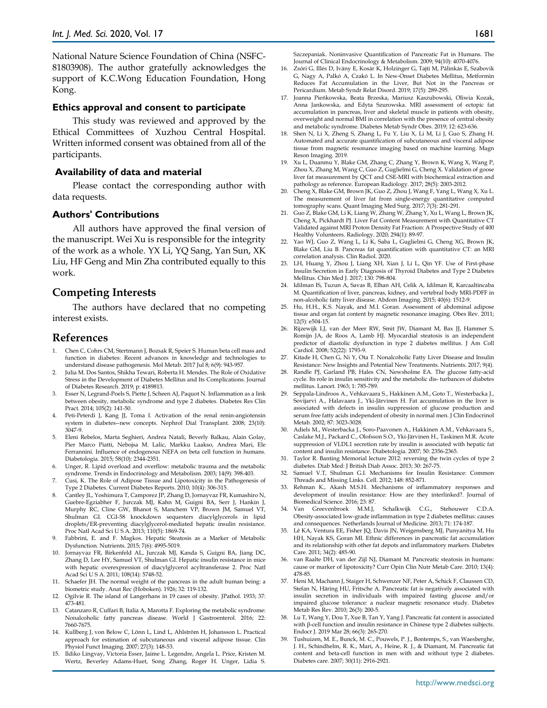National Nature Science Foundation of China (NSFC-81803908). The author gratefully acknowledges the support of K.C.Wong Education Foundation, Hong Kong.

#### **Ethics approval and consent to participate**

This study was reviewed and approved by the Ethical Committees of Xuzhou Central Hospital. Written informed consent was obtained from all of the participants.

#### **Availability of data and material**

Please contact the corresponding author with data requests.

#### **Authors' Contributions**

All authors have approved the final version of the manuscript. Wei Xu is responsible for the integrity of the work as a whole. YX Li, YQ Sang, Yan Sun, XK Liu, HF Geng and Min Zha contributed equally to this work.

## **Competing Interests**

The authors have declared that no competing interest exists.

## **References**

- 1. Chen C, Cohrs CM, Stertmann J, Bozsak R, Speier S. Human beta cell mass and function in diabetes: Recent advances in knowledge and technologies to understand disease pathogenesis. Mol Metab. 2017 Jul 8; 6(9): 943-957.
- Julia M. Dos Santos, Shikha Tewari, Roberta H. Mendes. The Role of Oxidative Stress in the Development of Diabetes Mellitus and Its Complications. Journal of Diabetes Research. 2019; p: 4189813.
- Esser N, Legrand-Poels S, Piette J, Scheen AJ, Paquot N. Inflammation as a link between obesity, metabolic syndrome and type 2 diabetes. Diabetes Res Clin Pract. 2014; 105(2): 141-50.
- 4. Peti-Peterdi J, Kang JJ, Toma I. Activation of the renal renin-angiotensin system in diabetes--new concepts. Nephrol Dial Transplant. 2008; 23(10): 3047-9.
- 5. Eleni Rebelos, Marta Seghieri, Andrea Natali, Beverly Balkau, Alain Golay, Pier Marco Piatti, Nebojsa M. Lalic, Markku Laakso, Andrea Mari, Ele Ferrannini. Influence of endogenous NEFA on beta cell function in humans. Diabetologia. 2015; 58(10): 2344-2351.
- Unger, R. Lipid overload and overflow: metabolic trauma and the metabolic syndrome. Trends in Endocrinology and Metabolism. 2003; 14(9): 398-403.
- 7. Cusi, K. The Role of Adipose Tissue and Lipotoxicity in the Pathogenesis of Type 2 Diabetes. Current Diabetes Reports. 2010; 10(4): 306-315.
- Cantley JL, Yoshimura T, Camporez JP, Zhang D, Jornayvaz FR, Kumashiro N, Guebre-Egziabher F, Jurczak MJ, Kahn M, Guigni BA, Serr J, Hankin J, Murphy RC, Cline GW, Bhanot S, Manchem VP, Brown JM, Samuel VT, Shulman GI. CGI-58 knockdown sequesters diacylglycerols in lipid droplets/ER-preventing diacylglycerol-mediated hepatic insulin resistance. Proc Natl Acad Sci U S A. 2013; 110(5): 1869-74.
- 9. Fabbrini, E. and F. Magkos. Hepatic Steatosis as a Marker of Metabolic Dysfunction. Nutrients. 2015; 7(6): 4995-5019.
- 10. Jornayvaz FR, Birkenfeld AL, Jurczak MJ, Kanda S, Guigni BA, Jiang DC, Zhang D, Lee HY, Samuel VT, Shulman GI. Hepatic insulin resistance in mice with hepatic overexpression of diacylglycerol acyltransferase 2. Proc Natl Acad Sci U S A. 2011; 108(14): 5748-52.
- 11. Schaefer JH. The normal weight of the pancreas in the adult human being: a biometric study. Anat Rec (Hoboken). 1926; 32: 119-132.
- 12. Ogilvie R. The island of Langerhans in 19 cases of obesity. JPathol. 1933; 37: 473-481.
- 13. Catanzaro R, Cuffari B, Italia A, Marotta F. Exploring the metabolic syndrome: Nonalcoholic fatty pancreas disease. World J Gastroenterol. 2016; 22: 7660-7675.
- 14. Kullberg J, von Below C, Lönn L, Lind L, Ahlström H, Johansson L. Practical approach for estimation of subcutaneous and visceral adipose tissue. Clin Physiol Funct Imaging. 2007; 27(3): 148-53.
- 15. Ildiko Lingvay, Victoria Esser, Jaime L. Legendre, Angela L. Price, Kristen M. Wertz, Beverley Adams-Huet, Song Zhang, Roger H. Unger, Lidia S.

Szczepaniak. Noninvasive Quantification of Pancreatic Fat in Humans. The Journal of Clinical Endocrinology & Metabolism. 2009; 94(10): 4070-4076.

- 16. Zsóri G, Illés D, Ivány E, Kosár K, Holzinger G, Tajti M, Pálinkás E, Szabovik G, Nagy A, Palkó A, Czakó L. In New-Onset Diabetes Mellitus, Metformin Reduces Fat Accumulation in the Liver, But Not in the Pancreas or Pericardium. Metab Syndr Relat Disord. 2019; 17(5): 289-295.
- 17. Joanna Pieńkowska, Beata Brzeska, Mariusz Kaszubowski, Oliwia Kozak, Anna Jankowska, and Edyta Szurowska. MRI assessment of ectopic fat accumulation in pancreas, liver and skeletal muscle in patients with obesity, overweight and normal BMI in correlation with the presence of central obesity and metabolic syndrome. Diabetes Metab Syndr Obes. 2019; 12: 623-636.
- 18. Shen N, Li X, Zheng S, Zhang L, Fu Y, Liu X, Li M, Li J, Guo S, Zhang H. Automated and accurate quantification of subcutaneous and visceral adipos tissue from magnetic resonance imaging based on machine learning. Magn Reson Imaging. 2019.
- 19. Xu L, Duanmu Y, Blake GM, Zhang C, Zhang Y, Brown K, Wang X, Wang P, Zhou X, Zhang M, Wang C, Guo Z, Guglielmi G, Cheng X. Validation of goose liver fat measurement by QCT and CSE-MRI with biochemical extraction and pathology as reference. European Radiology. 2017; 28(5): 2003-2012.
- 20. Cheng X, Blake GM, Brown JK, Guo Z, Zhou J, Wang F, Yang L, Wang X, Xu L. The measurement of liver fat from single-energy quantitative computed tomography scans. Quant Imaging Med Surg. 2017; 7(3): 281-291.
- 21. Guo Z, Blake GM, Li K, Liang W, Zhang W, Zhang Y, Xu L, Wang L, Brown JK, Cheng X, Pickhardt PJ. Liver Fat Content Measurement with Quantitative CT Validated against MRI Proton Density Fat Fraction: A Prospective Study of 400 Healthy Volunteers. Radiology. 2020; 294(1): 89-97.
- 22. Yao WJ, Guo Z, Wang L, Li K, Saba L, Guglielmi G, Cheng XG, Brown JK, Blake GM, Liu B. Pancreas fat quantification with quantitative CT: an MRI correlation analysis. Clin Radiol. 2020.
- 23. LH, Huang Y, Zhou J, Liang XH, Xian J, Li L, Qin YF. Use of First‐phase Insulin Secretion in Early Diagnosis of Thyroid Diabetes and Type 2 Diabetes Mellitus. Chin Med J. 2017; 130: 798‐804.
- 24. Idilman IS, Tuzun A, Savas B, Elhan AH, Celik A, Idilman R, Karcaaltincaba M. Quantification of liver, pancreas, kidney, and vertebral body MRI-PDFF in non-alcoholic fatty liver disease. Abdom Imaging. 2015; 40(6): 1512-9.
- 25. Hu, H.H., K.S. Nayak, and M.I. Goran. Assessment of abdominal adipose tissue and organ fat content by magnetic resonance imaging. Obes Rev. 2011; 12(5): e504-15.
- 26. Rijzewijk LJ, van der Meer RW, Smit JW, Diamant M, Bax JJ, Hammer S, Romijn JA, de Roos A, Lamb HJ. Myocardial steatosis is an independent predictor of diastolic dysfunction in type 2 diabetes mellitus. J Am Coll Cardiol. 2008; 52(22): 1793-9.
- 27. Kitade H, Chen G, Ni Y, Ota T. Nonalcoholic Fatty Liver Disease and Insulin Resistance: New Insights and Potential New Treatments. Nutrients. 2017; 9(4).
- 28. Randle PJ, Garland PB, Hales CN, Newsholme EA. The glucose fatty-acid cycle. Its role in insulin sensitivity and the metabolic dis- turbances of diabetes mellitus. Lancet. 1963; 1: 785-789.
- 29. Seppala-Lindroos A., Vehkavaara S., Hakkinen A.M., Goto T., Westerbacka J., Sovijarvi A., Halavaara J., Yki-Järvinen H. Fat accumulation in the liver is associated with defects in insulin suppression of glucose production and serum free fatty acids independent of obesity in normal men. J Clin Endocrinol Metab. 2002; 87: 3023-3028.
- 30. Adiels M., Westerbacka J., Soro-Paavonen A., Hakkinen A.M., Vehkavaara S., Caslake M.J., Packard C., Olofsson S.O., Yki-Järvinen H., Taskinen M.R. Acute suppression of VLDL1 secretion rate by insulin is associated with hepatic fat content and insulin resistance. Diabetologia. 2007; 50: 2356-2365.
- 31. Taylor R. Banting Memorial lecture 2012: reversing the twin cycles of type 2 diabetes. Diab Med: J British Diab Assoc. 2013; 30: 267-75.
- 32. Samuel V.T, Shulman G.I. Mechanisms for Insulin Resistance: Common Threads and Missing Links. Cell. 2012; 148: 852-871.
- 33. Rehman K., Akash M.S.H. Mechanisms of inflammatory responses and development of insulin resistance: How are they interlinked?. Journal of Biomedical Science. 2016; 23: 87.
- 34. Van Greevenbroek M.M.J, Schalkwijk C.G., Stehouwer C.D.A. Obesity-associated low-grade inflammation in type 2 diabetes mellitus: causes and consequences. Netherlands Journal of Medicine. 2013; 71: 174-187.
- 35. Lê KA, Ventura EE, Fisher JQ, Davis JN, Weigensberg MJ, Punyanitya M, Hu HH, Nayak KS, Goran MI. Ethnic differences in pancreatic fat accumulation and its relationship with other fat depots and inflammatory markers. Diabetes Care. 2011; 34(2): 485-90.
- 36. van Raalte DH, van der Zijl NJ, Diamant M. Pancreatic steatosis in humans: cause or marker of lipotoxicity? Curr Opin Clin Nutr Metab Care. 2010; 13(4): 478-85.
- 37. Heni M, Machann J, Staiger H, Schwenzer NF, Peter A, Schick F, Claussen CD, Stefan N, Häring HU, Fritsche A. Pancreatic fat is negatively associated with insulin secretion in individuals with impaired fasting glucose and/or impaired glucose tolerance: a nuclear magnetic resonance study. Diabetes Metab Res Rev. 2010; 26(3): 200-5.
- 38. Lu T, Wang Y, Dou T, Xue B, Tan Y, Yang J. Pancreatic fat content is associated with β-cell function and insulin resistance in Chinese type 2 diabetes subjects. Endocr J. 2019 Mar 28; 66(3): 265-270.
- 39. Tushuizen, M. E., Bunck, M. C., Pouwels, P. J., Bontemps, S., van Waesberghe, J. H., Schindhelm, R. K., Mari, A., Heine, R. J., & Diamant, M. Pancreatic fat content and beta-cell function in men with and without type 2 diabetes. Diabetes care. 2007; 30(11): 2916‐2921.